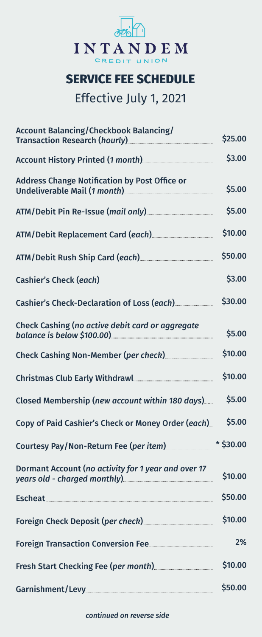

## **SERVICE FEE SCHEDULE**

## Effective July 1, 2021

| <b>Account Balancing/Checkbook Balancing/</b><br>Transaction Research (hourly) <b>Contained Act of Act of Act of Act of Act of Act of Act of Act of Act of Act of A</b> | \$25.00 |
|-------------------------------------------------------------------------------------------------------------------------------------------------------------------------|---------|
| Account History Printed (1 month) <b>Markon</b> Material Manuscription                                                                                                  | \$3.00  |
| Address Change Notification by Post Office or                                                                                                                           | \$5.00  |
| ATM/Debit Pin Re-Issue (mail only) <b>ATM/Debit Pin Re-Issue (mail only</b> )                                                                                           | \$5.00  |
| ATM/Debit Replacement Card (each) [1997] Matter September 2014                                                                                                          | \$10.00 |
| ATM/Debit Rush Ship Card (each) [11] ATM/Debit Rush Ship Card (each)                                                                                                    | \$50.00 |
|                                                                                                                                                                         | \$3.00  |
| Cashier's Check-Declaration of Loss (each) <b>Cashier's</b> Check-Declaration of Loss (each)                                                                            | \$30.00 |
| Check Cashing (no active debit card or aggregate                                                                                                                        | \$5.00  |
| Check Cashing Non-Member (per check) <b>Check</b> Check Cashing Non-Member (per check)                                                                                  | \$10.00 |
| Christmas Club Early Withdrawl [1974] [1975] [1976] Christmas Club Early Withdrawl                                                                                      | \$10.00 |
| Closed Membership (new account within 180 days)                                                                                                                         | \$5.00  |
| Copy of Paid Cashier's Check or Money Order (each)                                                                                                                      | \$5.00  |
|                                                                                                                                                                         |         |
| Dormant Account (no activity for 1 year and over 17                                                                                                                     | \$10.00 |
| Escheat <b>Manual Manual Manual Manual Manual Manual Manual Manual Manual Manual Manual Manual Manual Manual Manua</b>                                                  | \$50.00 |
| Foreign Check Deposit (per check) [1992] Marinesen Check Deposit (per check)                                                                                            | \$10.00 |
|                                                                                                                                                                         | 2%      |
|                                                                                                                                                                         | \$10.00 |
|                                                                                                                                                                         | \$50.00 |